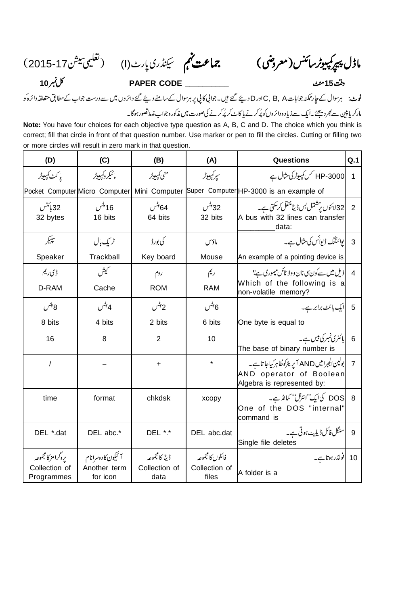ماڈل پیرکمپیوٹرسائنس(معروض) ہے جماعت کہم سینڈری پارٹ(ا) (تعلیمی سیشن77-2015)

**10 PAPER CODE \_\_\_\_\_\_\_\_\_\_ 15**

فوٹ: ہرسوال کے جارممکنہ جواباتC, B, Aکاور D دیئے گئے ہیں۔جوانی کا پی پر ہرسوال کےسامنے دیئے گئے دائر وں میں سے درست جواب کے مطابق متعلقہ دائرہ کو مارکر یا پین سے بھر دیجئے ۔ایک سے زیادہ دائر وں کو پُرکرنے پا کاٹ کر پُرکرنے کی صورت میں مذکورہ جواب غلطاتصور ہوگا۔

**Note:** You have four choices for each objective type question as A, B, C and D. The choice which you think is correct; fill that circle in front of that question number. Use marker or pen to fill the circles. Cutting or filling two or more circles will result in zero mark in that question.

| (D)                                               | (C)                                           | (B)                                     | (A)                                        | <b>Questions</b>                                                                                    | Q.1            |
|---------------------------------------------------|-----------------------------------------------|-----------------------------------------|--------------------------------------------|-----------------------------------------------------------------------------------------------------|----------------|
| يا كٹ كمپيوٹر                                     | مائىكروكمپىوٹر                                | منى كمپيوٹر                             | سپر کمپیوٹر                                | HP-3000 کس کمپیوٹر کی مثال ہے                                                                       | $\mathbf{1}$   |
|                                                   | Pocket Computer Micro Computer                |                                         |                                            | Mini Computer Super Computer HP-3000 is an example of                                               |                |
| 32 ہائٹس<br>32 bytes                              | 16 بٹس<br>16 bits                             | 64 بىس<br>64 bits                       | 32 بېش<br>32 bits                          | A bus with 32 lines can transfer<br>data:                                                           |                |
| سيبكر                                             | ٹر یک ہال                                     | كى بورڈ                                 | مأؤس                                       | 3  يوائنٽنگ ڈيوائس کي مثال ہے۔                                                                      |                |
| Speaker                                           | Trackball                                     | Key board                               | Mouse                                      | An example of a pointing device is                                                                  |                |
| ڈی ریم                                            | سميش                                          | روم                                     | ريم                                        | <mark> ذیل میں سےکون سی نان وولا ٹائل میموری ہے؟</mark>                                             | $\overline{4}$ |
| D-RAM                                             | Cache                                         | <b>ROM</b>                              | <b>RAM</b>                                 | Which of the following is a<br>non-volatile memory?                                                 |                |
| 8 بېس                                             | 4 بٹس                                         | 2 بېش                                   | 6بٹس                                       | 5  ایک بائٹ برابر ہے۔                                                                               |                |
| 8 bits                                            | 4 bits                                        | 2 bits                                  | 6 bits                                     | One byte is equal to                                                                                |                |
| 16                                                | 8                                             | $\overline{2}$                          | 10                                         | مائنری ٹمبر کی بیس ہے۔<br>The base of binary number is                                              | 6              |
| $\prime$                                          |                                               | $\ddot{}$                               | $\star$                                    | بولین لجبرامیں AND آپریٹرکوظاہرکیاجا تاہے۔<br>AND operator of Boolean<br>Algebra is represented by: | $\overline{7}$ |
| time                                              | format                                        | chkdsk                                  | хсору                                      | 8 DOS کیایٹ'انٹرنل'' کمانڈے۔<br>One of the DOS "internal"<br>command is                             |                |
| DEL *.dat                                         | DEL abc.*                                     | DEL *.*                                 | DEL abc.dat                                | سنگل فائل ڈیلیٹ ہونی ہے۔<br>Single file deletes                                                     | 9              |
| يروگرامز كالمجموعه<br>Collection of<br>Programmes | آئیکون کادوسرانام<br>Another term<br>for icon | ڈیٹا کا مجموعہ<br>Collection of<br>data | فائلوں كالمجموعه<br>Collection of<br>files | 10   تولڈر ہوتا ہے۔<br>A folder is a                                                                |                |